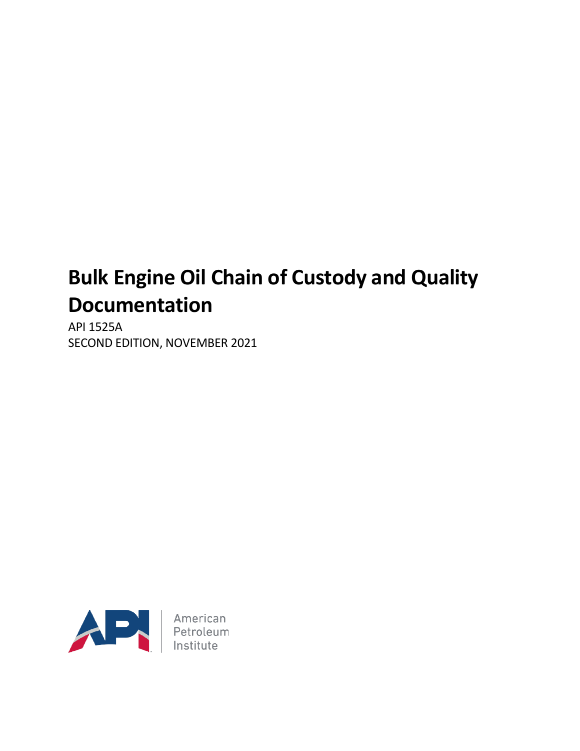# **Bulk Engine Oil Chain of Custody and Quality Documentation**

API 1525A SECOND EDITION, NOVEMBER 2021

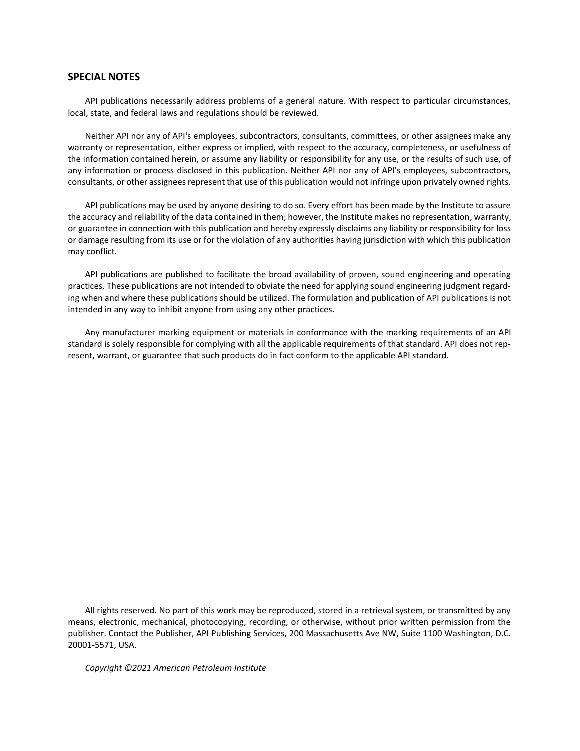#### **SPECIAL NOTES**

API publications necessarily address problems of a general nature. With respect to particular circumstances, local, state, and federal laws and regulations should be reviewed.

Neither API nor any of API's employees, subcontractors, consultants, committees, or other assignees make any warranty or representation, either express or implied, with respect to the accuracy, completeness, or usefulness of the information contained herein, or assume any liability or responsibility for any use, or the results of such use, of any information or process disclosed in this publication. Neither API nor any of API's employees, subcontractors, consultants, or other assignees represent that use of this publication would not infringe upon privately owned rights.

API publications may be used by anyone desiring to do so. Every effort has been made by the Institute to assure the accuracy and reliability of the data contained in them; however, the Institute makes no representation, warranty, or guarantee in connection with this publication and hereby expressly disclaims any liability or responsibility for loss or damage resulting from its use or for the violation of any authorities having jurisdiction with which this publication may conflict.

API publications are published to facilitate the broad availability of proven, sound engineering and operating practices. These publications are not intended to obviate the need for applying sound engineering judgment regarding when and where these publications should be utilized. The formulation and publication of API publications is not intended in any way to inhibit anyone from using any other practices.

Any manufacturer marking equipment or materials in conformance with the marking requirements of an API standard is solely responsible for complying with all the applicable requirements of that standard. API does not represent, warrant, or guarantee that such products do in fact conform to the applicable API standard.

All rights reserved. No part of this work may be reproduced, stored in a retrieval system, or transmitted by any means, electronic, mechanical, photocopying, recording, or otherwise, without prior written permission from the publisher. Contact the Publisher, API Publishing Services, 200 Massachusetts Ave NW, Suite 1100 Washington, D.C. 20001-5571, USA.

*Copyright ©2021 American Petroleum Institute*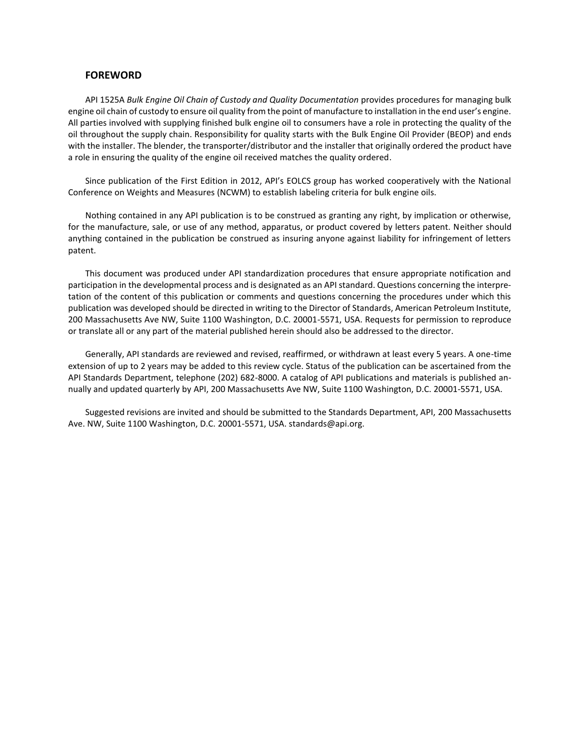#### **FOREWORD**

API 1525A *Bulk Engine Oil Chain of Custody and Quality Documentation* provides procedures for managing bulk engine oil chain of custody to ensure oil quality from the point of manufacture to installation in the end user's engine. All parties involved with supplying finished bulk engine oil to consumers have a role in protecting the quality of the oil throughout the supply chain. Responsibility for quality starts with the Bulk Engine Oil Provider (BEOP) and ends with the installer. The blender, the transporter/distributor and the installer that originally ordered the product have a role in ensuring the quality of the engine oil received matches the quality ordered.

Since publication of the First Edition in 2012, API's EOLCS group has worked cooperatively with the National Conference on Weights and Measures (NCWM) to establish labeling criteria for bulk engine oils.

Nothing contained in any API publication is to be construed as granting any right, by implication or otherwise, for the manufacture, sale, or use of any method, apparatus, or product covered by letters patent. Neither should anything contained in the publication be construed as insuring anyone against liability for infringement of letters patent.

This document was produced under API standardization procedures that ensure appropriate notification and participation in the developmental process and is designated as an API standard. Questions concerning the interpretation of the content of this publication or comments and questions concerning the procedures under which this publication was developed should be directed in writing to the Director of Standards, American Petroleum Institute, 200 Massachusetts Ave NW, Suite 1100 Washington, D.C. 20001-5571, USA. Requests for permission to reproduce or translate all or any part of the material published herein should also be addressed to the director.

Generally, API standards are reviewed and revised, reaffirmed, or withdrawn at least every 5 years. A one-time extension of up to 2 years may be added to this review cycle. Status of the publication can be ascertained from the API Standards Department, telephone (202) 682-8000. A catalog of API publications and materials is published annually and updated quarterly by API, 200 Massachusetts Ave NW, Suite 1100 Washington, D.C. 20001-5571, USA.

Suggested revisions are invited and should be submitted to the Standards Department, API, 200 Massachusetts Ave. NW, Suite 1100 Washington, D.C. 20001-5571, USA. standards@api.org.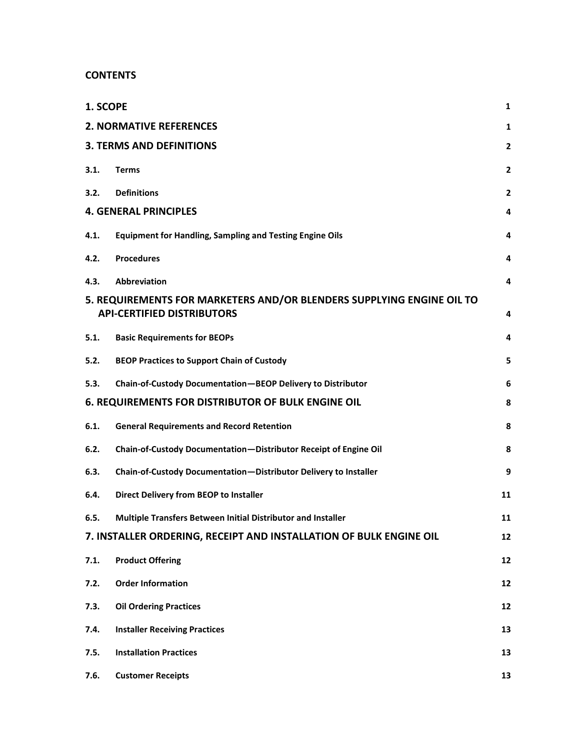# **CONTENTS**

| 1. SCOPE                                                                                                   |                                                                  | $\mathbf{1}$            |
|------------------------------------------------------------------------------------------------------------|------------------------------------------------------------------|-------------------------|
| <b>2. NORMATIVE REFERENCES</b>                                                                             |                                                                  | 1                       |
| <b>3. TERMS AND DEFINITIONS</b>                                                                            |                                                                  | $\overline{2}$          |
| 3.1.                                                                                                       | <b>Terms</b>                                                     | $\overline{\mathbf{2}}$ |
| 3.2.                                                                                                       | <b>Definitions</b>                                               | 2                       |
| <b>4. GENERAL PRINCIPLES</b>                                                                               |                                                                  | 4                       |
| 4.1.                                                                                                       | <b>Equipment for Handling, Sampling and Testing Engine Oils</b>  | 4                       |
| 4.2.                                                                                                       | <b>Procedures</b>                                                | 4                       |
| 4.3.                                                                                                       | Abbreviation                                                     | 4                       |
| 5. REQUIREMENTS FOR MARKETERS AND/OR BLENDERS SUPPLYING ENGINE OIL TO<br><b>API-CERTIFIED DISTRIBUTORS</b> |                                                                  | $\overline{a}$          |
| 5.1.                                                                                                       | <b>Basic Requirements for BEOPs</b>                              | 4                       |
| 5.2.                                                                                                       | <b>BEOP Practices to Support Chain of Custody</b>                | 5                       |
| 5.3.                                                                                                       | Chain-of-Custody Documentation-BEOP Delivery to Distributor      | 6                       |
| <b>6. REQUIREMENTS FOR DISTRIBUTOR OF BULK ENGINE OIL</b>                                                  |                                                                  | 8                       |
| 6.1.                                                                                                       | <b>General Requirements and Record Retention</b>                 | 8                       |
| 6.2.                                                                                                       | Chain-of-Custody Documentation-Distributor Receipt of Engine Oil | 8                       |
| 6.3.                                                                                                       | Chain-of-Custody Documentation-Distributor Delivery to Installer | 9                       |
| 6.4.                                                                                                       | Direct Delivery from BEOP to Installer                           | 11                      |
| 6.5.                                                                                                       | Multiple Transfers Between Initial Distributor and Installer     | 11                      |
| 7. INSTALLER ORDERING, RECEIPT AND INSTALLATION OF BULK ENGINE OIL                                         |                                                                  | 12                      |
| 7.1.                                                                                                       | <b>Product Offering</b>                                          | 12                      |
| 7.2.                                                                                                       | <b>Order Information</b>                                         | 12                      |
| 7.3.                                                                                                       | <b>Oil Ordering Practices</b>                                    | 12                      |
| 7.4.                                                                                                       | <b>Installer Receiving Practices</b>                             | 13                      |
| 7.5.                                                                                                       | <b>Installation Practices</b>                                    | 13                      |
| 7.6.                                                                                                       | <b>Customer Receipts</b>                                         | 13                      |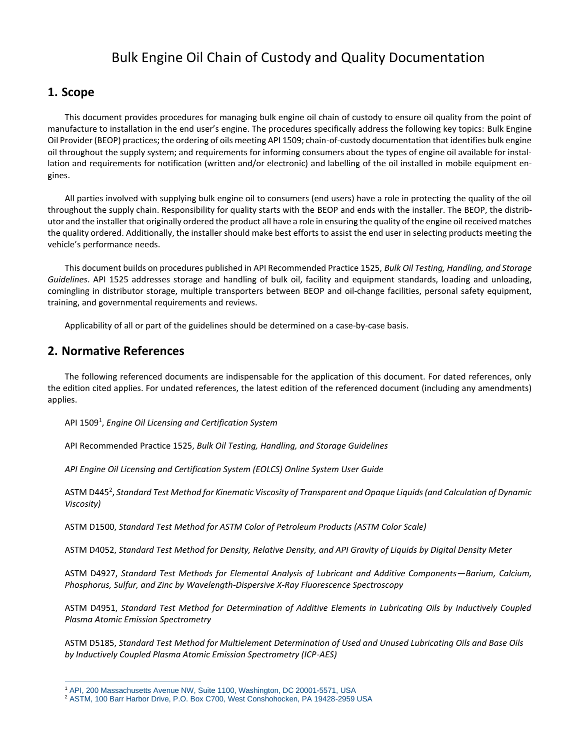# Bulk Engine Oil Chain of Custody and Quality Documentation

# <span id="page-5-0"></span>**1. Scope**

This document provides procedures for managing bulk engine oil chain of custody to ensure oil quality from the point of manufacture to installation in the end user's engine. The procedures specifically address the following key topics: Bulk Engine Oil Provider (BEOP) practices; the ordering of oils meeting API 1509; chain-of-custody documentation that identifies bulk engine oil throughout the supply system; and requirements for informing consumers about the types of engine oil available for installation and requirements for notification (written and/or electronic) and labelling of the oil installed in mobile equipment engines.

All parties involved with supplying bulk engine oil to consumers (end users) have a role in protecting the quality of the oil throughout the supply chain. Responsibility for quality starts with the BEOP and ends with the installer. The BEOP, the distributor and the installer that originally ordered the product all have a role in ensuring the quality of the engine oil received matches the quality ordered. Additionally, the installer should make best efforts to assist the end user in selecting products meeting the vehicle's performance needs.

This document builds on procedures published in API Recommended Practice 1525, *Bulk Oil Testing, Handling, and Storage Guidelines*. API 1525 addresses storage and handling of bulk oil, facility and equipment standards, loading and unloading, comingling in distributor storage, multiple transporters between BEOP and oil-change facilities, personal safety equipment, training, and governmental requirements and reviews.

Applicability of all or part of the guidelines should be determined on a case-by-case basis.

# <span id="page-5-1"></span>**2. Normative References**

The following referenced documents are indispensable for the application of this document. For dated references, only the edition cited applies. For undated references, the latest edition of the referenced document (including any amendments) applies.

API 1509<sup>1</sup> , *Engine Oil Licensing and Certification System*

API Recommended Practice 1525, *Bulk Oil Testing, Handling, and Storage Guidelines*

*API Engine Oil Licensing and Certification System (EOLCS) Online System User Guide*

ASTM D445<sup>2</sup>, Standard Test Method for Kinematic Viscosity of Transparent and Opaque Liquids (and Calculation of Dynamic *Viscosity)*

ASTM D1500, *Standard Test Method for ASTM Color of Petroleum Products (ASTM Color Scale)*

ASTM D4052, *Standard Test Method for Density, Relative Density, and API Gravity of Liquids by Digital Density Meter*

ASTM D4927, *Standard Test Methods for Elemental Analysis of Lubricant and Additive Components—Barium, Calcium, Phosphorus, Sulfur, and Zinc by Wavelength-Dispersive X-Ray Fluorescence Spectroscopy*

ASTM D4951, *Standard Test Method for Determination of Additive Elements in Lubricating Oils by Inductively Coupled Plasma Atomic Emission Spectrometry*

ASTM D5185, *Standard Test Method for Multielement Determination of Used and Unused Lubricating Oils and Base Oils by Inductively Coupled Plasma Atomic Emission Spectrometry (ICP-AES)*

<sup>1</sup> API, 200 Massachusetts Avenue NW, Suite 1100, Washington, DC 20001-5571, USA

<sup>2</sup> ASTM, 100 Barr Harbor Drive, P.O. Box C700, West Conshohocken, PA 19428-2959 USA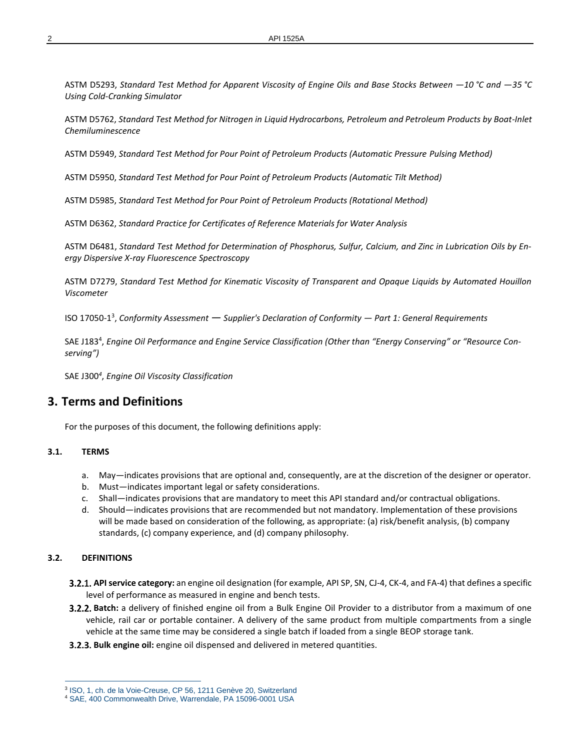ASTM D5293, *Standard Test Method for Apparent Viscosity of Engine Oils and Base Stocks Between —10 °C and —35 °C Using Cold-Cranking Simulator*

ASTM D5762, *Standard Test Method for Nitrogen in Liquid Hydrocarbons, Petroleum and Petroleum Products by Boat-Inlet Chemiluminescence*

ASTM D5949, *Standard Test Method for Pour Point of Petroleum Products (Automatic Pressure Pulsing Method)*

ASTM D5950, *Standard Test Method for Pour Point of Petroleum Products (Automatic Tilt Method)*

ASTM D5985, *Standard Test Method for Pour Point of Petroleum Products (Rotational Method)*

ASTM D6362, *Standard Practice for Certificates of Reference Materials for Water Analysis*

ASTM D6481, *Standard Test Method for Determination of Phosphorus, Sulfur, Calcium, and Zinc in Lubrication Oils by Energy Dispersive X-ray Fluorescence Spectroscopy*

ASTM D7279, *Standard Test Method for Kinematic Viscosity of Transparent and Opaque Liquids by Automated Houillon Viscometer*

ISO 17050-1 3 , *Conformity Assessment — Supplier's Declaration of Conformity — Part 1: General Requirements*

<span id="page-6-3"></span>SAE J183<sup>4</sup>, [Engine Oil Performance and Engine Service Classification \(Other than "Energy Conserving" or "Resource Con](https://www.sae.org/standards/content/j183_202007/)*[serving"\)](https://www.sae.org/standards/content/j183_202007/)*

SAE J300*<sup>4</sup>* [,](#page-6-3) *Engine Oil Viscosity Classification*

# <span id="page-6-0"></span>**3. Terms and Definitions**

For the purposes of this document, the following definitions apply:

## <span id="page-6-1"></span>**3.1. TERMS**

- a. May—indicates provisions that are optional and, consequently, are at the discretion of the designer or operator.
- b. Must—indicates important legal or safety considerations.
- c. Shall—indicates provisions that are mandatory to meet this API standard and/or contractual obligations.
- d. Should—indicates provisions that are recommended but not mandatory. Implementation of these provisions will be made based on consideration of the following, as appropriate: (a) risk/benefit analysis, (b) company standards, (c) company experience, and (d) company philosophy.

# <span id="page-6-2"></span>**3.2. DEFINITIONS**

- **API service category:** an engine oil designation (for example, API SP, SN, CJ-4, CK-4, and FA-4) that defines a specific level of performance as measured in engine and bench tests.
- **Batch:** a delivery of finished engine oil from a Bulk Engine Oil Provider to a distributor from a maximum of one vehicle, rail car or portable container. A delivery of the same product from multiple compartments from a single vehicle at the same time may be considered a single batch if loaded from a single BEOP storage tank.
- **3.2.3. Bulk engine oil:** engine oil dispensed and delivered in metered quantities.

<sup>3</sup> ISO, 1, ch. de la Voie-Creuse, CP 56, 1211 Genève 20, Switzerland

<sup>4</sup> SAE, 400 Commonwealth Drive, Warrendale, PA 15096-0001 USA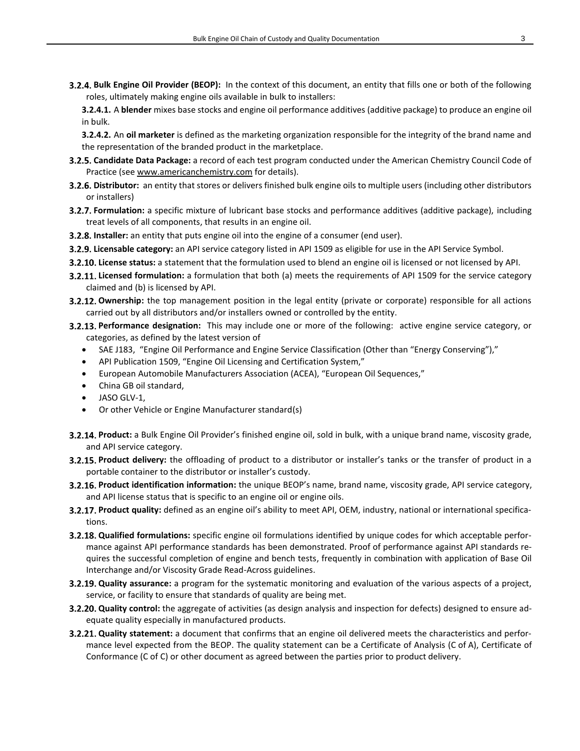**Bulk Engine Oil Provider (BEOP):** In the context of this document, an entity that fills one or both of the following roles, ultimately making engine oils available in bulk to installers:

**3.2.4.1.** A **blender** mixes base stocks and engine oil performance additives (additive package) to produce an engine oil in bulk.

**3.2.4.2.** An **oil marketer** is defined as the marketing organization responsible for the integrity of the brand name and the representation of the branded product in the marketplace.

- **Candidate Data Package:** a record of each test program conducted under the American Chemistry Council Code of Practice (see [www.americanchemistry.com](http://www.americanchemistry.com/) for details).
- **Distributor:** an entity that stores or delivers finished bulk engine oils to multiple users (including other distributors or installers)
- **Formulation:** a specific mixture of lubricant base stocks and performance additives (additive package), including treat levels of all components, that results in an engine oil.
- **Installer:** an entity that puts engine oil into the engine of a consumer (end user).
- **Licensable category:** an API service category listed in API 1509 as eligible for use in the API Service Symbol.
- **License status:** a statement that the formulation used to blend an engine oil is licensed or not licensed by API.
- **Licensed formulation:** a formulation that both (a) meets the requirements of API 1509 for the service category claimed and (b) is licensed by API.
- **3.2.12. Ownership:** the top management position in the legal entity (private or corporate) responsible for all actions carried out by all distributors and/or installers owned or controlled by the entity.
- <span id="page-7-0"></span>**Performance designation:** This may include one or more of the following: active engine service category, or categories, as defined by the latest version of
	- SAE J183, "Engine Oil Performance and Engine Service Classification (Other than "Energy Conserving"),"
	- API Publication 1509, "Engine Oil Licensing and Certification System,"
	- European Automobile Manufacturers Association (ACEA), "European Oil Sequences,"
	- China GB oil standard,
	- JASO GLV-1,
	- Or other Vehicle or Engine Manufacturer standard(s)
- **Product:** a Bulk Engine Oil Provider's finished engine oil, sold in bulk, with a unique brand name, viscosity grade, and API service category.
- **Product delivery:** the offloading of product to a distributor or installer's tanks or the transfer of product in a portable container to the distributor or installer's custody.
- **Product identification information:** the unique BEOP's name, brand name, viscosity grade, API service category, and API license status that is specific to an engine oil or engine oils.
- **Product quality:** defined as an engine oil's ability to meet API, OEM, industry, national or international specifications.
- **Qualified formulations:** specific engine oil formulations identified by unique codes for which acceptable performance against API performance standards has been demonstrated. Proof of performance against API standards requires the successful completion of engine and bench tests, frequently in combination with application of Base Oil Interchange and/or Viscosity Grade Read-Across guidelines.
- **Quality assurance:** a program for the systematic monitoring and evaluation of the various aspects of a project, service, or facility to ensure that standards of quality are being met.
- **Quality control:** the aggregate of activities (as design analysis and inspection for defects) designed to ensure adequate quality especially in manufactured products.
- **3.2.21. Quality statement:** a document that confirms that an engine oil delivered meets the characteristics and performance level expected from the BEOP. The quality statement can be a Certificate of Analysis (C of A), Certificate of Conformance (C of C) or other document as agreed between the parties prior to product delivery.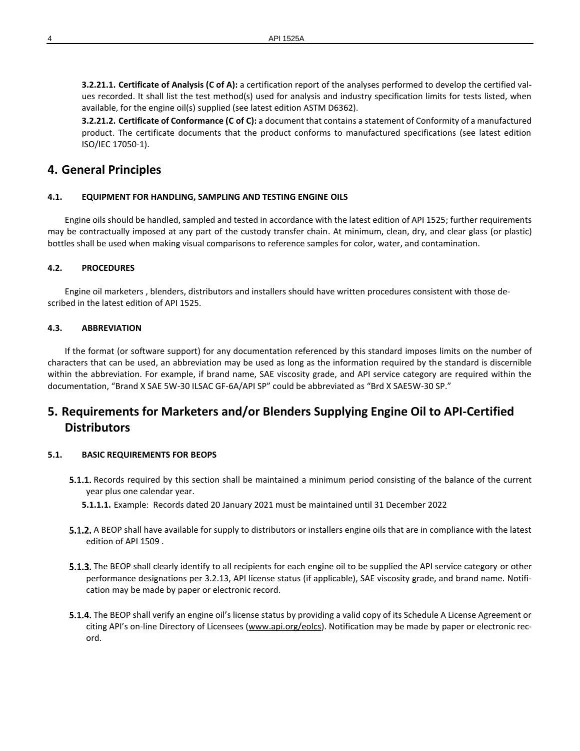**3.2.21.1. Certificate of Analysis (C of A):** a certification report of the analyses performed to develop the certified values recorded. It shall list the test method(s) used for analysis and industry specification limits for tests listed, when available, for the engine oil(s) supplied (see latest edition ASTM D6362).

**3.2.21.2. Certificate of Conformance (C of C):** a document that contains a statement of Conformity of a manufactured product. The certificate documents that the product conforms to manufactured specifications (see latest edition ISO/IEC 17050-1).

# <span id="page-8-0"></span>**4. General Principles**

#### <span id="page-8-1"></span>**4.1. EQUIPMENT FOR HANDLING, SAMPLING AND TESTING ENGINE OILS**

Engine oils should be handled, sampled and tested in accordance with the latest edition of API 1525; further requirements may be contractually imposed at any part of the custody transfer chain. At minimum, clean, dry, and clear glass (or plastic) bottles shall be used when making visual comparisons to reference samples for color, water, and contamination.

#### <span id="page-8-2"></span>**4.2. PROCEDURES**

Engine oil marketers , blenders, distributors and installers should have written procedures consistent with those described in the latest edition of API 1525.

#### <span id="page-8-3"></span>**4.3. ABBREVIATION**

If the format (or software support) for any documentation referenced by this standard imposes limits on the number of characters that can be used, an abbreviation may be used as long as the information required by the standard is discernible within the abbreviation. For example, if brand name, SAE viscosity grade, and API service category are required within the documentation, "Brand X SAE 5W-30 ILSAC GF-6A/API SP" could be abbreviated as "Brd X SAE5W-30 SP."

# <span id="page-8-4"></span>**5. Requirements for Marketers and/or Blenders Supplying Engine Oil to API-Certified Distributors**

#### <span id="page-8-5"></span>**5.1. BASIC REQUIREMENTS FOR BEOPS**

- <span id="page-8-6"></span>**5.1.1.** Records required by this section shall be maintained a minimum period consisting of the balance of the current year plus one calendar year.
	- **5.1.1.1.** Example: Records dated 20 January 2021 must be maintained until 31 December 2022
- 5.1.2. A BEOP shall have available for supply to distributors or installers engine oils that are in compliance with the latest edition of API 1509 .
- **5.1.3.** The BEOP shall clearly identify to all recipients for each engine oil to be supplied the API service category or other performance designations per [3.2.13,](#page-7-0) API license status (if applicable), SAE viscosity grade, and brand name. Notification may be made by paper or electronic record.
- **5.1.4.** The BEOP shall verify an engine oil's license status by providing a valid copy of its Schedule A License Agreement or citing API's on-line Directory of Licensees [\(www.api.org/eolcs\)](http://www.api.org/eolcs). Notification may be made by paper or electronic record.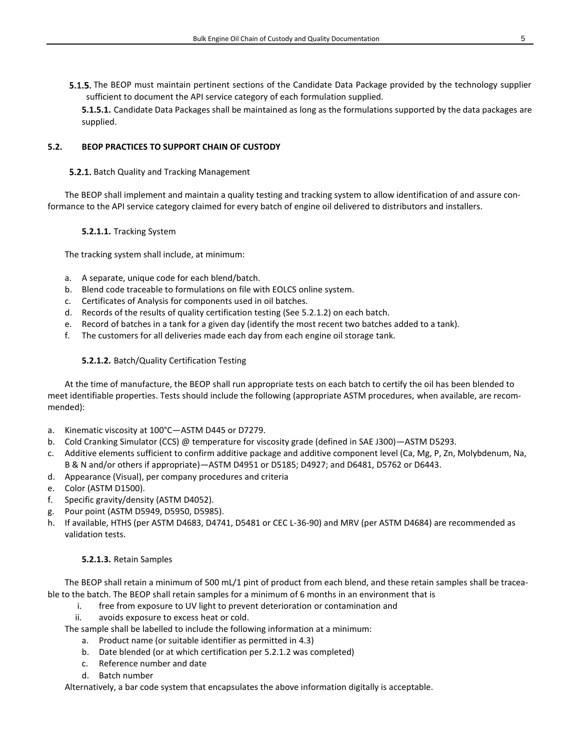5.1.5. The BEOP must maintain pertinent sections of the Candidate Data Package provided by the technology supplier sufficient to document the API service category of each formulation supplied.

**5.1.5.1.** Candidate Data Packages shall be maintained as long as the formulations supported by the data packages are supplied.

#### <span id="page-9-2"></span><span id="page-9-0"></span>**5.2. BEOP PRACTICES TO SUPPORT CHAIN OF CUSTODY**

#### 5.2.1. Batch Quality and Tracking Management

The BEOP shall implement and maintain a quality testing and tracking system to allow identification of and assure conformance to the API service category claimed for every batch of engine oil delivered to distributors and installers.

#### **5.2.1.1.** Tracking System

The tracking system shall include, at minimum:

- a. A separate, unique code for each blend/batch.
- b. Blend code traceable to formulations on file with EOLCS online system.
- c. Certificates of Analysis for components used in oil batches.
- d. Records of the results of quality certification testing (See [5.2.1.2\)](#page-9-1) on each batch.
- e. Record of batches in a tank for a given day (identify the most recent two batches added to a tank).
- f. The customers for all deliveries made each day from each engine oil storage tank.

#### **5.2.1.2.** Batch/Quality Certification Testing

<span id="page-9-1"></span>At the time of manufacture, the BEOP shall run appropriate tests on each batch to certify the oil has been blended to meet identifiable properties. Tests should include the following (appropriate ASTM procedures, when available, are recommended):

- a. Kinematic viscosity at 100°C—ASTM D445 or D7279.
- b. Cold Cranking Simulator (CCS) @ temperature for viscosity grade (defined in SAE J300)—ASTM D5293.
- c. Additive elements sufficient to confirm additive package and additive component level (Ca, Mg, P, Zn, Molybdenum, Na, B & N and/or others if appropriate)—ASTM D4951 or D5185; D4927; and D6481, D5762 or D6443.
- d. Appearance (Visual), per company procedures and criteria
- e. Color (ASTM D1500).
- f. Specific gravity/density (ASTM D4052).
- g. Pour point (ASTM D5949, D5950, D5985).
- h. If available, HTHS (per ASTM D4683, D4741, D5481 or CEC L-36-90) and MRV (per ASTM D4684) are recommended as validation tests.

#### **5.2.1.3.** Retain Samples

The BEOP shall retain a minimum of 500 mL/1 pint of product from each blend, and these retain samples shall be traceable to the batch. The BEOP shall retain samples for a minimum of 6 months in an environment that is

- i. free from exposure to UV light to prevent deterioration or contamination and
- ii. avoids exposure to excess heat or cold.

The sample shall be labelled to include the following information at a minimum:

- a. Product name (or suitable identifier as permitted in [4.3\)](#page-8-3)
- b. Date blended (or at which certification per [5.2.1.2](#page-9-1) was completed)
- c. Reference number and date
- d. Batch number

Alternatively, a bar code system that encapsulates the above information digitally is acceptable.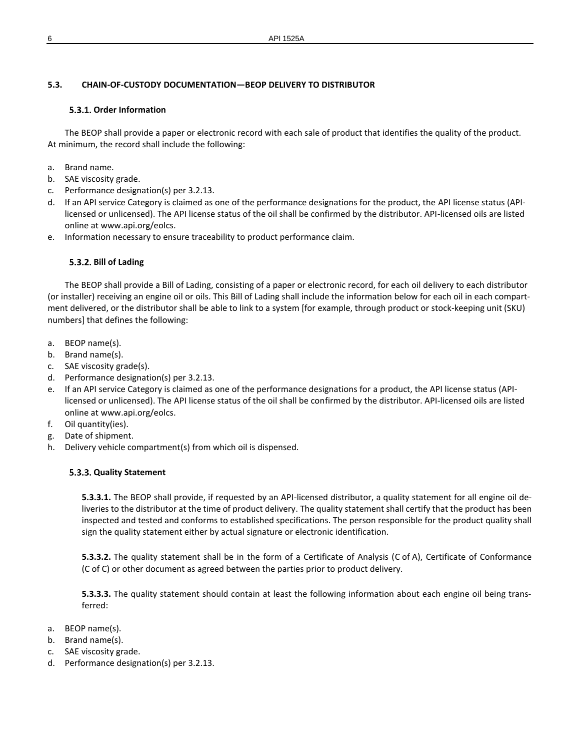# <span id="page-10-0"></span>**5.3. CHAIN-OF-CUSTODY DOCUMENTATION—BEOP DELIVERY TO DISTRIBUTOR**

## <span id="page-10-1"></span>**Order Information**

The BEOP shall provide a paper or electronic record with each sale of product that identifies the quality of the product. At minimum, the record shall include the following:

- a. Brand name.
- b. SAE viscosity grade.
- c. Performance designation(s) per [3.2.13.](#page-7-0)
- d. If an API service Category is claimed as one of the performance designations for the product, the API license status (APIlicensed or unlicensed). The API license status of the oil shall be confirmed by the distributor. API-licensed oils are listed online a[t www.api.org/eolcs.](http://www.api.org/eolcs)
- e. Information necessary to ensure traceability to product performance claim.

## **Bill of Lading**

The BEOP shall provide a Bill of Lading, consisting of a paper or electronic record, for each oil delivery to each distributor (or installer) receiving an engine oil or oils. This Bill of Lading shall include the information below for each oil in each compartment delivered, or the distributor shall be able to link to a system [for example, through product or stock-keeping unit (SKU) numbers] that defines the following:

- a. BEOP name(s).
- b. Brand name(s).
- c. SAE viscosity grade(s).
- d. Performance designation(s) per [3.2.13.](#page-7-0)
- e. If an API service Category is claimed as one of the performance designations for a product, the API license status (APIlicensed or unlicensed). The API license status of the oil shall be confirmed by the distributor. API-licensed oils are listed online a[t www.api.org/eolcs.](http://www.api.org/eolcs)
- f. Oil quantity(ies).
- g. Date of shipment.
- h. Delivery vehicle compartment(s) from which oil is dispensed.

## **Quality Statement**

**5.3.3.1.** The BEOP shall provide, if requested by an API-licensed distributor, a quality statement for all engine oil deliveries to the distributor at the time of product delivery. The quality statement shall certify that the product has been inspected and tested and conforms to established specifications. The person responsible for the product quality shall sign the quality statement either by actual signature or electronic identification.

**5.3.3.2.** The quality statement shall be in the form of a Certificate of Analysis (C of A), Certificate of Conformance (C of C) or other document as agreed between the parties prior to product delivery.

<span id="page-10-2"></span>**5.3.3.3.** The quality statement should contain at least the following information about each engine oil being transferred:

- a. BEOP name(s).
- b. Brand name(s).
- c. SAE viscosity grade.
- d. Performance designation(s) per [3.2.13.](#page-7-0)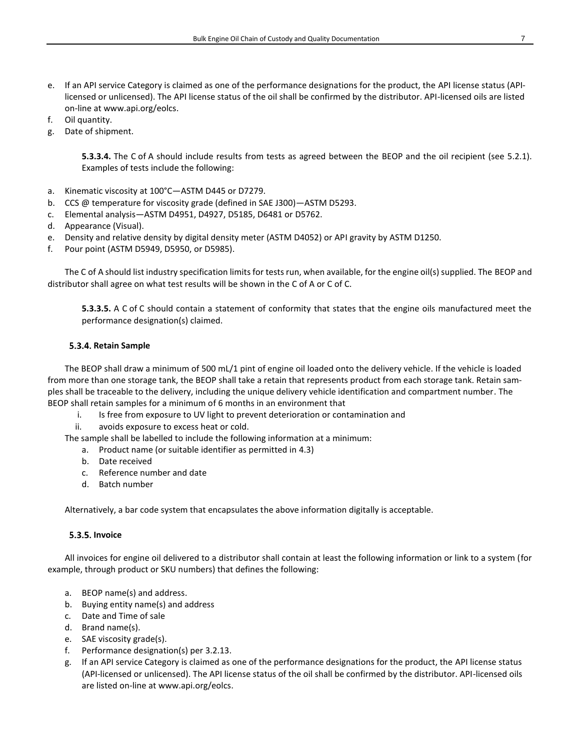- e. If an API service Category is claimed as one of the performance designations for the product, the API license status (APIlicensed or unlicensed). The API license status of the oil shall be confirmed by the distributor. API-licensed oils are listed on-line a[t www.api.org/eolcs.](http://www.api.org/eolcs)
- f. Oil quantity.
- g. Date of shipment.

**5.3.3.4.** The C of A should include results from tests as agreed between the BEOP and the oil recipient (see [5.2.1\)](#page-9-2). Examples of tests include the following:

- a. Kinematic viscosity at 100°C—ASTM D445 or D7279.
- b. CCS @ temperature for viscosity grade (defined in SAE J300)—ASTM D5293.
- c. Elemental analysis—ASTM D4951, D4927, D5185, D6481 or D5762.
- d. Appearance (Visual).
- e. Density and relative density by digital density meter (ASTM D4052) or API gravity by ASTM D1250.
- f. Pour point (ASTM D5949, D5950, or D5985).

The C of A should list industry specification limits for tests run, when available, for the engine oil(s) supplied. The BEOP and distributor shall agree on what test results will be shown in the C of A or C of C.

**5.3.3.5.** A C of C should contain a statement of conformity that states that the engine oils manufactured meet the performance designation(s) claimed.

#### **5.3.4. Retain Sample**

The BEOP shall draw a minimum of 500 mL/1 pint of engine oil loaded onto the delivery vehicle. If the vehicle is loaded from more than one storage tank, the BEOP shall take a retain that represents product from each storage tank. Retain samples shall be traceable to the delivery, including the unique delivery vehicle identification and compartment number. The BEOP shall retain samples for a minimum of 6 months in an environment that

- i. Is free from exposure to UV light to prevent deterioration or contamination and
- ii. avoids exposure to excess heat or cold.

The sample shall be labelled to include the following information at a minimum:

- a. Product name (or suitable identifier as permitted in [4.3\)](#page-8-3)
- b. Date received
- c. Reference number and date
- d. Batch number

Alternatively, a bar code system that encapsulates the above information digitally is acceptable.

## **5.3.5. Invoice**

All invoices for engine oil delivered to a distributor shall contain at least the following information or link to a system (for example, through product or SKU numbers) that defines the following:

- a. BEOP name(s) and address.
- b. Buying entity name(s) and address
- c. Date and Time of sale
- d. Brand name(s).
- e. SAE viscosity grade(s).
- f. Performance designation(s) per [3.2.13.](#page-7-0)
- g. If an API service Category is claimed as one of the performance designations for the product, the API license status (API-licensed or unlicensed). The API license status of the oil shall be confirmed by the distributor. API-licensed oils are listed on-line at [www.api.org/eolcs.](http://www.api.org/eolcs)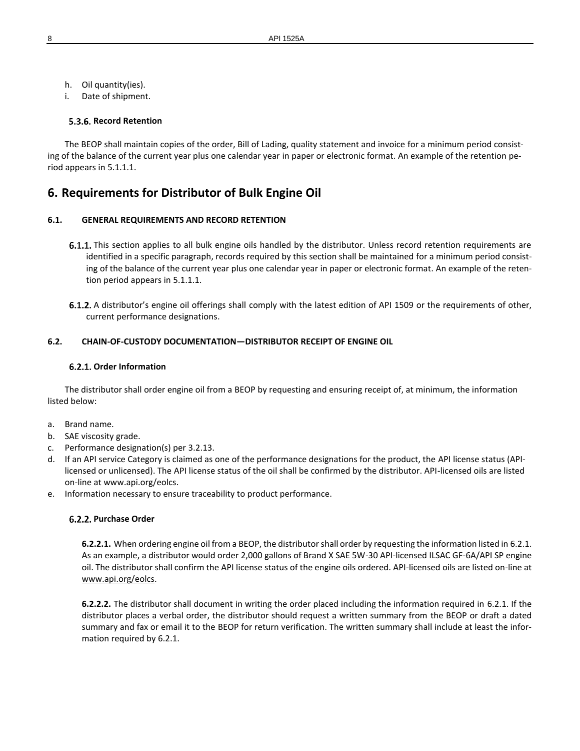- h. Oil quantity(ies).
- i. Date of shipment.

## **5.3.6. Record Retention**

The BEOP shall maintain copies of the order, Bill of Lading, quality statement and invoice for a minimum period consisting of the balance of the current year plus one calendar year in paper or electronic format. An example of the retention period appears i[n 5.1.1.1.](#page-8-6)

# <span id="page-12-0"></span>**6. Requirements for Distributor of Bulk Engine Oil**

## <span id="page-12-1"></span>**6.1. GENERAL REQUIREMENTS AND RECORD RETENTION**

- 6.1.1. This section applies to all bulk engine oils handled by the distributor. Unless record retention requirements are identified in a specific paragraph, records required by this section shall be maintained for a minimum period consisting of the balance of the current year plus one calendar year in paper or electronic format. An example of the retention period appears i[n 5.1.1.1.](#page-8-6)
- 6.1.2. A distributor's engine oil offerings shall comply with the latest edition of API 1509 or the requirements of other, current performance designations.

# <span id="page-12-3"></span><span id="page-12-2"></span>**6.2. CHAIN-OF-CUSTODY DOCUMENTATION—DISTRIBUTOR RECEIPT OF ENGINE OIL**

#### **Order Information**

The distributor shall order engine oil from a BEOP by requesting and ensuring receipt of, at minimum, the information listed below:

- a. Brand name.
- b. SAE viscosity grade.
- c. Performance designation(s) per [3.2.13.](#page-7-0)
- d. If an API service Category is claimed as one of the performance designations for the product, the API license status (APIlicensed or unlicensed). The API license status of the oil shall be confirmed by the distributor. API-licensed oils are listed on-line a[t www.api.org/eolcs.](http://www.api.org/eolcs)
- e. Information necessary to ensure traceability to product performance.

## **6.2.2. Purchase Order**

**6.2.2.1.** When ordering engine oil from a BEOP, the distributor shall order by requesting the information listed in [6.2.1.](#page-12-3) As an example, a distributor would order 2,000 gallons of Brand X SAE 5W-30 API-licensed ILSAC GF-6A/API SP engine oil. The distributor shall confirm the API license status of the engine oils ordered. API-licensed oils are listed on-line at [www.api.org/eolcs.](http://www.api.org/eolcs)

**6.2.2.2.** The distributor shall document in writing the order placed including the information required in [6.2.1.](#page-12-3) If the distributor places a verbal order, the distributor should request a written summary from the BEOP or draft a dated summary and fax or email it to the BEOP for return verification. The written summary shall include at least the information required by [6.2.1.](#page-12-3)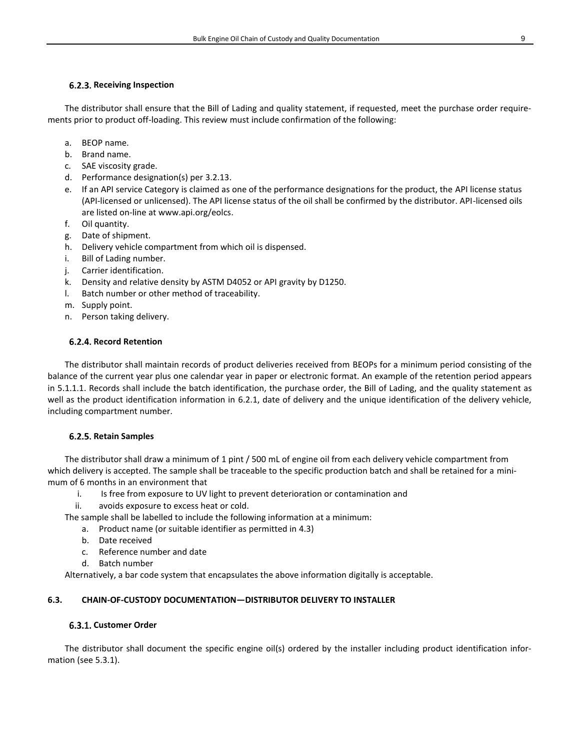#### **6.2.3. Receiving Inspection**

The distributor shall ensure that the Bill of Lading and quality statement, if requested, meet the purchase order requirements prior to product off-loading. This review must include confirmation of the following:

- a. BEOP name.
- b. Brand name.
- c. SAE viscosity grade.
- d. Performance designation(s) per [3.2.13.](#page-7-0)
- e. If an API service Category is claimed as one of the performance designations for the product, the API license status (API-licensed or unlicensed). The API license status of the oil shall be confirmed by the distributor. API-licensed oils are listed on-line at [www.api.org/eolcs.](http://www.api.org/eolcs)
- f. Oil quantity.
- g. Date of shipment.
- h. Delivery vehicle compartment from which oil is dispensed.
- i. Bill of Lading number.
- j. Carrier identification.
- k. Density and relative density by ASTM D4052 or API gravity by D1250.
- l. Batch number or other method of traceability.
- m. Supply point.
- n. Person taking delivery.

#### **Record Retention**

The distributor shall maintain records of product deliveries received from BEOPs for a minimum period consisting of the balance of the current year plus one calendar year in paper or electronic format. An example of the retention period appears in [5.1.1.1.](#page-8-6) Records shall include the batch identification, the purchase order, the Bill of Lading, and the quality statement as well as the product identification information in [6.2.1,](#page-12-3) date of delivery and the unique identification of the delivery vehicle, including compartment number.

## **Retain Samples**

The distributor shall draw a minimum of 1 pint / 500 mL of engine oil from each delivery vehicle compartment from which delivery is accepted. The sample shall be traceable to the specific production batch and shall be retained for a minimum of 6 months in an environment that

- i. Is free from exposure to UV light to prevent deterioration or contamination and
- ii. avoids exposure to excess heat or cold.

The sample shall be labelled to include the following information at a minimum:

- a. Product name (or suitable identifier as permitted in [4.3\)](#page-8-3)
- b. Date received
- c. Reference number and date
- d. Batch number

Alternatively, a bar code system that encapsulates the above information digitally is acceptable.

## <span id="page-13-0"></span>**6.3. CHAIN-OF-CUSTODY DOCUMENTATION—DISTRIBUTOR DELIVERY TO INSTALLER**

#### **6.3.1. Customer Order**

The distributor shall document the specific engine oil(s) ordered by the installer including product identification information (see [5.3.1\)](#page-10-1).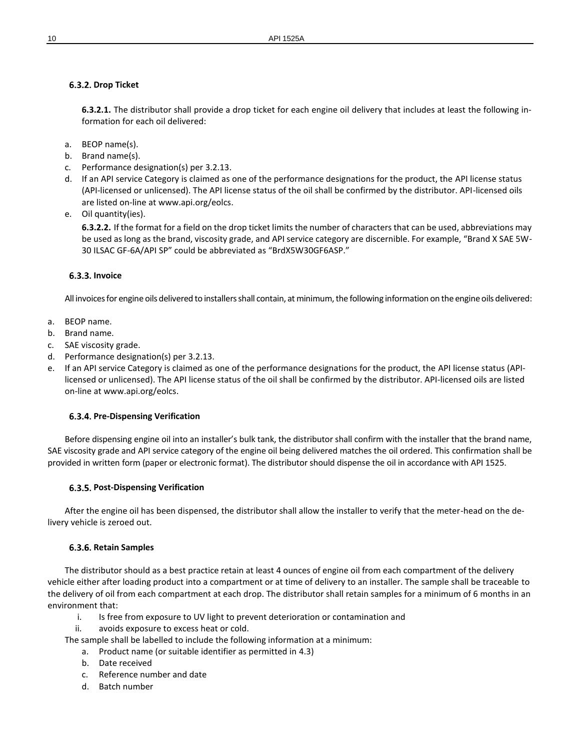# <span id="page-14-0"></span>**6.3.2. Drop Ticket**

**6.3.2.1.** The distributor shall provide a drop ticket for each engine oil delivery that includes at least the following information for each oil delivered:

- a. BEOP name(s).
- b. Brand name(s).
- c. Performance designation(s) per [3.2.13.](#page-7-0)
- d. If an API service Category is claimed as one of the performance designations for the product, the API license status (API-licensed or unlicensed). The API license status of the oil shall be confirmed by the distributor. API-licensed oils are listed on-line at [www.api.org/eolcs.](http://www.api.org/eolcs)
- e. Oil quantity(ies).

**6.3.2.2.** If the format for a field on the drop ticket limits the number of characters that can be used, abbreviations may be used as long as the brand, viscosity grade, and API service category are discernible. For example, "Brand X SAE 5W-30 ILSAC GF-6A/API SP" could be abbreviated as "BrdX5W30GF6ASP."

# **6.3.3. Invoice**

All invoices for engine oils delivered to installers shall contain, at minimum, the following information on the engine oils delivered:

- a. BEOP name.
- b. Brand name.
- c. SAE viscosity grade.
- d. Performance designation(s) per [3.2.13.](#page-7-0)
- e. If an API service Category is claimed as one of the performance designations for the product, the API license status (APIlicensed or unlicensed). The API license status of the oil shall be confirmed by the distributor. API-licensed oils are listed on-line a[t www.api.org/eolcs.](http://www.api.org/eolcs)

# <span id="page-14-1"></span>**Pre-Dispensing Verification**

Before dispensing engine oil into an installer's bulk tank, the distributor shall confirm with the installer that the brand name, SAE viscosity grade and API service category of the engine oil being delivered matches the oil ordered. This confirmation shall be provided in written form (paper or electronic format). The distributor should dispense the oil in accordance with API 1525.

# **6.3.5. Post-Dispensing Verification**

After the engine oil has been dispensed, the distributor shall allow the installer to verify that the meter-head on the delivery vehicle is zeroed out.

# **Retain Samples**

The distributor should as a best practice retain at least 4 ounces of engine oil from each compartment of the delivery vehicle either after loading product into a compartment or at time of delivery to an installer. The sample shall be traceable to the delivery of oil from each compartment at each drop. The distributor shall retain samples for a minimum of 6 months in an environment that:

- i. Is free from exposure to UV light to prevent deterioration or contamination and
- ii. avoids exposure to excess heat or cold.

The sample shall be labelled to include the following information at a minimum:

- a. Product name (or suitable identifier as permitted in [4.3\)](#page-8-3)
- b. Date received
- c. Reference number and date
- d. Batch number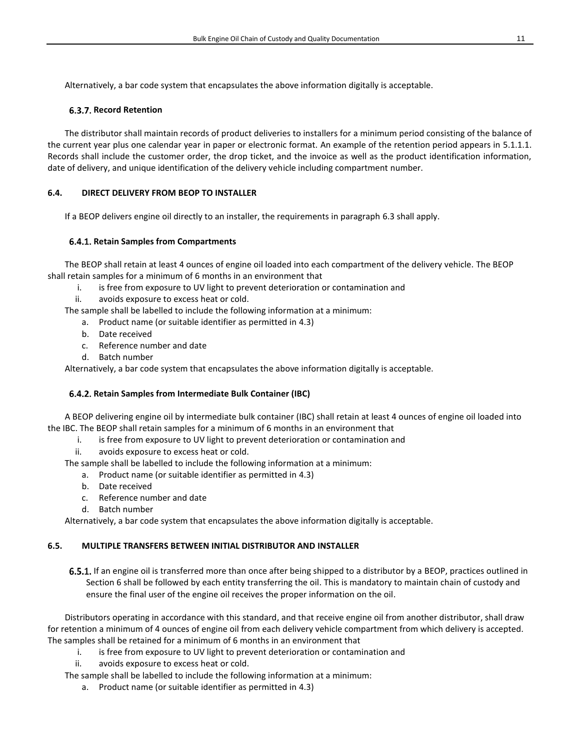Alternatively, a bar code system that encapsulates the above information digitally is acceptable.

#### **6.3.7. Record Retention**

The distributor shall maintain records of product deliveries to installers for a minimum period consisting of the balance of the current year plus one calendar year in paper or electronic format. An example of the retention period appears in [5.1.1.1.](#page-8-6) Records shall include the customer order, the drop ticket, and the invoice as well as the product identification information, date of delivery, and unique identification of the delivery vehicle including compartment number.

## <span id="page-15-0"></span>**6.4. DIRECT DELIVERY FROM BEOP TO INSTALLER**

If a BEOP delivers engine oil directly to an installer, the requirements in paragraph [6.3](#page-13-0) shall apply.

## **Retain Samples from Compartments**

The BEOP shall retain at least 4 ounces of engine oil loaded into each compartment of the delivery vehicle. The BEOP shall retain samples for a minimum of 6 months in an environment that

- i. is free from exposure to UV light to prevent deterioration or contamination and
- ii. avoids exposure to excess heat or cold.

The sample shall be labelled to include the following information at a minimum:

- a. Product name (or suitable identifier as permitted in [4.3\)](#page-8-3)
- b. Date received
- c. Reference number and date
- d. Batch number

Alternatively, a bar code system that encapsulates the above information digitally is acceptable.

# **Retain Samples from Intermediate Bulk Container (IBC)**

A BEOP delivering engine oil by intermediate bulk container (IBC) shall retain at least 4 ounces of engine oil loaded into the IBC. The BEOP shall retain samples for a minimum of 6 months in an environment that

- i. is free from exposure to UV light to prevent deterioration or contamination and
- ii. avoids exposure to excess heat or cold.

The sample shall be labelled to include the following information at a minimum:

- a. Product name (or suitable identifier as permitted in [4.3\)](#page-8-3)
- b. Date received
- c. Reference number and date
- d. Batch number

Alternatively, a bar code system that encapsulates the above information digitally is acceptable.

## <span id="page-15-1"></span>**6.5. MULTIPLE TRANSFERS BETWEEN INITIAL DISTRIBUTOR AND INSTALLER**

6.5.1. If an engine oil is transferred more than once after being shipped to a distributor by a BEOP, practices outlined in Section 6 shall be followed by each entity transferring the oil. This is mandatory to maintain chain of custody and ensure the final user of the engine oil receives the proper information on the oil.

Distributors operating in accordance with this standard, and that receive engine oil from another distributor, shall draw for retention a minimum of 4 ounces of engine oil from each delivery vehicle compartment from which delivery is accepted. The samples shall be retained for a minimum of 6 months in an environment that

- i. is free from exposure to UV light to prevent deterioration or contamination and
- ii. avoids exposure to excess heat or cold.

The sample shall be labelled to include the following information at a minimum:

a. Product name (or suitable identifier as permitted in [4.3\)](#page-8-3)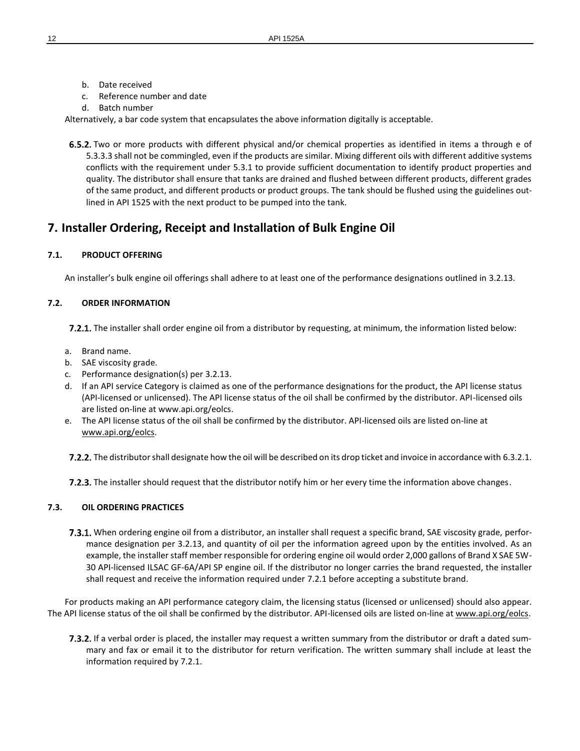- b. Date received
- c. Reference number and date
- d. Batch number

Alternatively, a bar code system that encapsulates the above information digitally is acceptable.

6.5.2. Two or more products with different physical and/or chemical properties as identified in items a through e of [5.3.3.3](#page-10-2) shall not be commingled, even if the products are similar. Mixing different oils with different additive systems conflicts with the requirement under [5.3.1](#page-10-1) to provide sufficient documentation to identify product properties and quality. The distributor shall ensure that tanks are drained and flushed between different products, different grades of the same product, and different products or product groups. The tank should be flushed using the guidelines outlined in API 1525 with the next product to be pumped into the tank.

# <span id="page-16-0"></span>**7. Installer Ordering, Receipt and Installation of Bulk Engine Oil**

## <span id="page-16-1"></span>**7.1. PRODUCT OFFERING**

An installer's bulk engine oil offerings shall adhere to at least one of the performance designations outlined in [3.2.13.](#page-7-0)

## <span id="page-16-4"></span><span id="page-16-2"></span>**7.2. ORDER INFORMATION**

7.2.1. The installer shall order engine oil from a distributor by requesting, at minimum, the information listed below:

- a. Brand name.
- b. SAE viscosity grade.
- c. Performance designation(s) per [3.2.13.](#page-7-0)
- d. If an API service Category is claimed as one of the performance designations for the product, the API license status (API-licensed or unlicensed). The API license status of the oil shall be confirmed by the distributor. API-licensed oils are listed on-line at [www.api.org/eolcs.](http://www.api.org/eolcs)
- e. The API license status of the oil shall be confirmed by the distributor. API-licensed oils are listed on-line at [www.api.org/eolcs.](http://www.api.org/eolcs)

**7.2.2.** The distributor shall designate how the oil will be described on its drop ticket and invoice in accordance wit[h 6.3.2.1.](#page-14-0)

7.2.3. The installer should request that the distributor notify him or her every time the information above changes.

# <span id="page-16-3"></span>**7.3. OIL ORDERING PRACTICES**

7.3.1. When ordering engine oil from a distributor, an installer shall request a specific brand, SAE viscosity grade, performance designation per [3.2.13,](#page-7-0) and quantity of oil per the information agreed upon by the entities involved. As an example, the installer staff member responsible for ordering engine oil would order 2,000 gallons of Brand X SAE 5W-30 API-licensed ILSAC GF-6A/API SP engine oil. If the distributor no longer carries the brand requested, the installer shall request and receive the information required unde[r 7.2.1](#page-16-4) before accepting a substitute brand.

For products making an API performance category claim, the licensing status (licensed or unlicensed) should also appear. The API license status of the oil shall be confirmed by the distributor. API-licensed oils are listed on-line at [www.api.org/eolcs.](http://www.api.org/eolcs)

7.3.2. If a verbal order is placed, the installer may request a written summary from the distributor or draft a dated summary and fax or email it to the distributor for return verification. The written summary shall include at least the information required b[y 7.2.1.](#page-16-4)